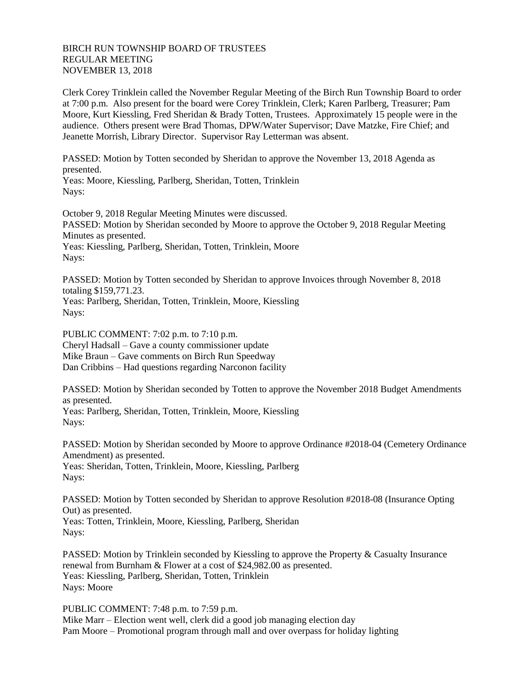## BIRCH RUN TOWNSHIP BOARD OF TRUSTEES REGULAR MEETING NOVEMBER 13, 2018

Clerk Corey Trinklein called the November Regular Meeting of the Birch Run Township Board to order at 7:00 p.m. Also present for the board were Corey Trinklein, Clerk; Karen Parlberg, Treasurer; Pam Moore, Kurt Kiessling, Fred Sheridan & Brady Totten, Trustees. Approximately 15 people were in the audience. Others present were Brad Thomas, DPW/Water Supervisor; Dave Matzke, Fire Chief; and Jeanette Morrish, Library Director. Supervisor Ray Letterman was absent.

PASSED: Motion by Totten seconded by Sheridan to approve the November 13, 2018 Agenda as presented.

Yeas: Moore, Kiessling, Parlberg, Sheridan, Totten, Trinklein Nays:

October 9, 2018 Regular Meeting Minutes were discussed. PASSED: Motion by Sheridan seconded by Moore to approve the October 9, 2018 Regular Meeting Minutes as presented. Yeas: Kiessling, Parlberg, Sheridan, Totten, Trinklein, Moore Nays:

PASSED: Motion by Totten seconded by Sheridan to approve Invoices through November 8, 2018 totaling \$159,771.23. Yeas: Parlberg, Sheridan, Totten, Trinklein, Moore, Kiessling

Nays:

PUBLIC COMMENT: 7:02 p.m. to 7:10 p.m. Cheryl Hadsall – Gave a county commissioner update Mike Braun – Gave comments on Birch Run Speedway Dan Cribbins – Had questions regarding Narconon facility

PASSED: Motion by Sheridan seconded by Totten to approve the November 2018 Budget Amendments as presented.

Yeas: Parlberg, Sheridan, Totten, Trinklein, Moore, Kiessling Nays:

PASSED: Motion by Sheridan seconded by Moore to approve Ordinance #2018-04 (Cemetery Ordinance Amendment) as presented. Yeas: Sheridan, Totten, Trinklein, Moore, Kiessling, Parlberg Nays:

PASSED: Motion by Totten seconded by Sheridan to approve Resolution #2018-08 (Insurance Opting Out) as presented. Yeas: Totten, Trinklein, Moore, Kiessling, Parlberg, Sheridan

Nays:

PASSED: Motion by Trinklein seconded by Kiessling to approve the Property & Casualty Insurance renewal from Burnham & Flower at a cost of \$24,982.00 as presented. Yeas: Kiessling, Parlberg, Sheridan, Totten, Trinklein Nays: Moore

PUBLIC COMMENT: 7:48 p.m. to 7:59 p.m. Mike Marr – Election went well, clerk did a good job managing election day Pam Moore – Promotional program through mall and over overpass for holiday lighting